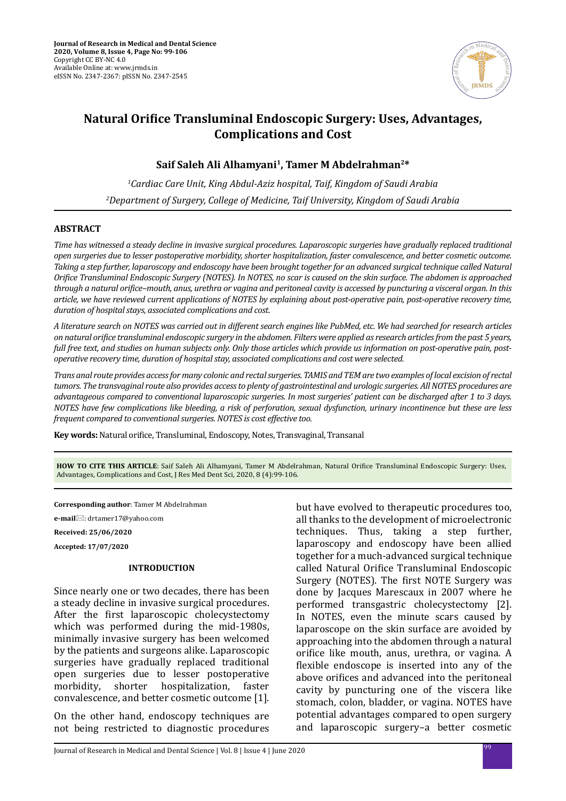

# **Natural Orifice Transluminal Endoscopic Surgery: Uses, Advantages, Complications and Cost**

# **Saif Saleh Ali Alhamyani<sup>1</sup>, Tamer M Abdelrahman2\***

*1 Cardiac Care Unit, King Abdul-Aziz hospital, Taif, Kingdom of Saudi Arabia 2 Department of Surgery, College of Medicine, Taif University, Kingdom of Saudi Arabia*

## **ABSTRACT**

*Time has witnessed a steady decline in invasive surgical procedures. Laparoscopic surgeries have gradually replaced traditional open surgeries due to lesser postoperative morbidity, shorter hospitalization, faster convalescence, and better cosmetic outcome. Taking a step further, laparoscopy and endoscopy have been brought together for an advanced surgical technique called Natural Orifice Transluminal Endoscopic Surgery (NOTES). In NOTES, no scar is caused on the skin surface. The abdomen is approached through a natural orifice–mouth, anus, urethra or vagina and peritoneal cavity is accessed by puncturing a visceral organ. In this article, we have reviewed current applications of NOTES by explaining about post-operative pain, post-operative recovery time, duration of hospital stays, associated complications and cost.* 

*A literature search on NOTES was carried out in different search engines like PubMed, etc. We had searched for research articles on natural orifice transluminal endoscopic surgery in the abdomen. Filters were applied as research articles from the past 5 years, full free text, and studies on human subjects only. Only those articles which provide us information on post-operative pain, postoperative recovery time, duration of hospital stay, associated complications and cost were selected.*

*Trans anal route provides access for many colonic and rectal surgeries. TAMIS and TEM are two examples of local excision of rectal tumors. The transvaginal route also provides access to plenty of gastrointestinal and urologic surgeries. All NOTES procedures are advantageous compared to conventional laparoscopic surgeries. In most surgeries' patient can be discharged after 1 to 3 days. NOTES have few complications like bleeding, a risk of perforation, sexual dysfunction, urinary incontinence but these are less frequent compared to conventional surgeries. NOTES is cost effective too.*

**Key words:** Natural orifice, Transluminal, Endoscopy, Notes, Transvaginal, Transanal

**HOW TO CITE THIS ARTICLE**: Saif Saleh Ali Alhamyani, Tamer M Abdelrahman, Natural Orifice Transluminal Endoscopic Surgery: Uses, Advantages, Complications and Cost, J Res Med Dent Sci, 2020, 8 (4):99-106.

**Corresponding author**: Tamer M Abdelrahman

**e-mail**: drtamer17@yahoo.com

**Received: 25/06/2020**

**Accepted: 17/07/2020**

#### **INTRODUCTION**

Since nearly one or two decades, there has been a steady decline in invasive surgical procedures. After the first laparoscopic cholecystectomy which was performed during the mid-1980s, minimally invasive surgery has been welcomed by the patients and surgeons alike. Laparoscopic surgeries have gradually replaced traditional open surgeries due to lesser postoperative<br>morbidity, shorter hospitalization, faster hospitalization. convalescence, and better cosmetic outcome [1].

On the other hand, endoscopy techniques are not being restricted to diagnostic procedures but have evolved to therapeutic procedures too, all thanks to the development of microelectronic techniques. Thus, taking a step further, laparoscopy and endoscopy have been allied together for a much-advanced surgical technique called Natural Orifice Transluminal Endoscopic Surgery (NOTES). The first NOTE Surgery was done by Jacques Marescaux in 2007 where he performed transgastric cholecystectomy [2]. In NOTES, even the minute scars caused by laparoscope on the skin surface are avoided by approaching into the abdomen through a natural orifice like mouth, anus, urethra, or vagina. A flexible endoscope is inserted into any of the above orifices and advanced into the peritoneal cavity by puncturing one of the viscera like stomach, colon, bladder, or vagina. NOTES have potential advantages compared to open surgery and laparoscopic surgery–a better cosmetic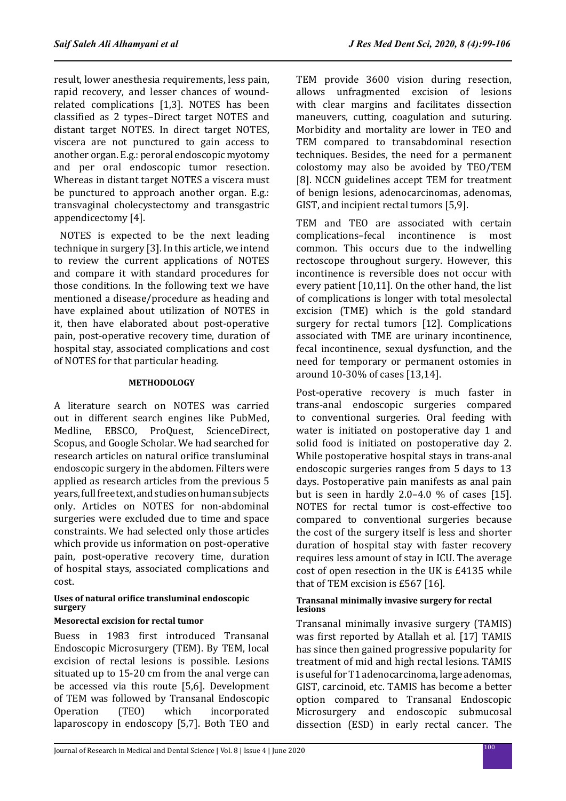result, lower anesthesia requirements, less pain, rapid recovery, and lesser chances of woundrelated complications [1,3]. NOTES has been classified as 2 types–Direct target NOTES and distant target NOTES. In direct target NOTES, viscera are not punctured to gain access to another organ. E.g.: peroral endoscopic myotomy and per oral endoscopic tumor resection. Whereas in distant target NOTES a viscera must be punctured to approach another organ. E.g.: transvaginal cholecystectomy and transgastric appendicectomy [4].

 NOTES is expected to be the next leading technique in surgery [3]. In this article, we intend to review the current applications of NOTES and compare it with standard procedures for those conditions. In the following text we have mentioned a disease/procedure as heading and have explained about utilization of NOTES in it, then have elaborated about post-operative pain, post-operative recovery time, duration of hospital stay, associated complications and cost of NOTES for that particular heading.

## **METHODOLOGY**

A literature search on NOTES was carried out in different search engines like PubMed,<br>Medline. EBSCO. ProOuest. ScienceDirect. EBSCO, ProQuest, ScienceDirect, Scopus, and Google Scholar. We had searched for research articles on natural orifice transluminal endoscopic surgery in the abdomen. Filters were applied as research articles from the previous 5 years, full free text, and studies on human subjects only. Articles on NOTES for non-abdominal surgeries were excluded due to time and space constraints. We had selected only those articles which provide us information on post-operative pain, post-operative recovery time, duration of hospital stays, associated complications and cost.

## **Uses of natural orifice transluminal endoscopic surgery**

## **Mesorectal excision for rectal tumor**

Buess in 1983 first introduced Transanal Endoscopic Microsurgery (TEM). By TEM, local excision of rectal lesions is possible. Lesions situated up to 15-20 cm from the anal verge can be accessed via this route [5,6]. Development of TEM was followed by Transanal Endoscopic<br>Operation (TEO) which incorporated incorporated laparoscopy in endoscopy [5,7]. Both TEO and TEM provide 3600 vision during resection, allows unfragmented excision of lesions with clear margins and facilitates dissection maneuvers, cutting, coagulation and suturing. Morbidity and mortality are lower in TEO and TEM compared to transabdominal resection techniques. Besides, the need for a permanent colostomy may also be avoided by TEO/TEM [8]. NCCN guidelines accept TEM for treatment of benign lesions, adenocarcinomas, adenomas, GIST, and incipient rectal tumors [5,9].

TEM and TEO are associated with certain<br>complications-fecal incontinence is most complications-fecal common. This occurs due to the indwelling rectoscope throughout surgery. However, this incontinence is reversible does not occur with every patient [10,11]. On the other hand, the list of complications is longer with total mesolectal excision (TME) which is the gold standard surgery for rectal tumors [12]. Complications associated with TME are urinary incontinence, fecal incontinence, sexual dysfunction, and the need for temporary or permanent ostomies in around 10-30% of cases [13,14].

Post-operative recovery is much faster in trans-anal endoscopic surgeries compared to conventional surgeries. Oral feeding with water is initiated on postoperative day 1 and solid food is initiated on postoperative day 2. While postoperative hospital stays in trans-anal endoscopic surgeries ranges from 5 days to 13 days. Postoperative pain manifests as anal pain but is seen in hardly 2.0–4.0 % of cases [15]. NOTES for rectal tumor is cost-effective too compared to conventional surgeries because the cost of the surgery itself is less and shorter duration of hospital stay with faster recovery requires less amount of stay in ICU. The average cost of open resection in the UK is £4135 while that of TEM excision is £567 [16].

#### **Transanal minimally invasive surgery for rectal lesions**

Transanal minimally invasive surgery (TAMIS) was first reported by Atallah et al. [17] TAMIS has since then gained progressive popularity for treatment of mid and high rectal lesions. TAMIS is useful for T1 adenocarcinoma, large adenomas, GIST, carcinoid, etc. TAMIS has become a better option compared to Transanal Endoscopic Microsurgery and endoscopic submucosal dissection (ESD) in early rectal cancer. The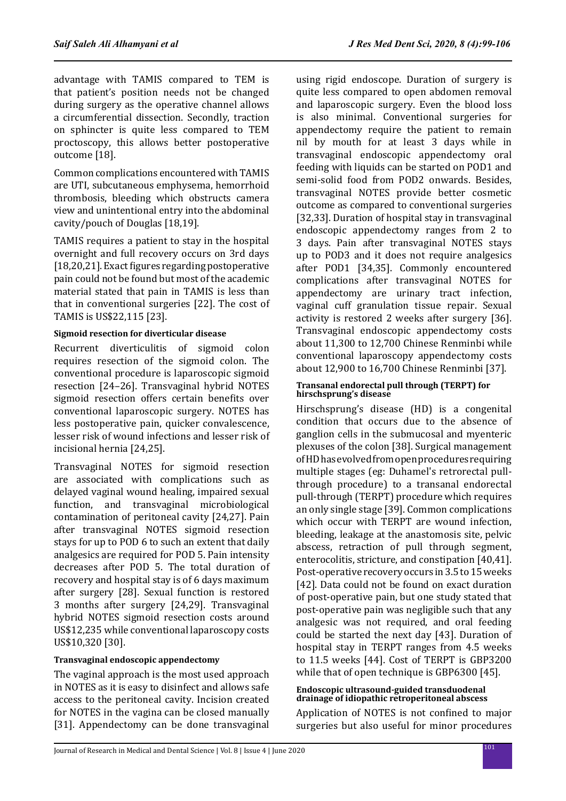advantage with TAMIS compared to TEM is that patient's position needs not be changed during surgery as the operative channel allows a circumferential dissection. Secondly, traction on sphincter is quite less compared to TEM proctoscopy, this allows better postoperative outcome [18].

Common complications encountered with TAMIS are UTI, subcutaneous emphysema, hemorrhoid thrombosis, bleeding which obstructs camera view and unintentional entry into the abdominal cavity/pouch of Douglas [18,19].

TAMIS requires a patient to stay in the hospital overnight and full recovery occurs on 3rd days [18,20,21]. Exact figures regarding postoperative pain could not be found but most of the academic material stated that pain in TAMIS is less than that in conventional surgeries [22]. The cost of TAMIS is US\$22,115 [23].

## **Sigmoid resection for diverticular disease**

Recurrent diverticulitis of sigmoid colon requires resection of the sigmoid colon. The conventional procedure is laparoscopic sigmoid resection [24–26]. Transvaginal hybrid NOTES sigmoid resection offers certain benefits over conventional laparoscopic surgery. NOTES has less postoperative pain, quicker convalescence, lesser risk of wound infections and lesser risk of incisional hernia [24,25].

Transvaginal NOTES for sigmoid resection are associated with complications such as delayed vaginal wound healing, impaired sexual function, and transvaginal microbiological contamination of peritoneal cavity [24,27]. Pain after transvaginal NOTES sigmoid resection stays for up to POD 6 to such an extent that daily analgesics are required for POD 5. Pain intensity decreases after POD 5. The total duration of recovery and hospital stay is of 6 days maximum after surgery [28]. Sexual function is restored 3 months after surgery [24,29]. Transvaginal hybrid NOTES sigmoid resection costs around US\$12,235 while conventional laparoscopy costs US\$10,320 [30].

## **Transvaginal endoscopic appendectomy**

The vaginal approach is the most used approach in NOTES as it is easy to disinfect and allows safe access to the peritoneal cavity. Incision created for NOTES in the vagina can be closed manually [31]. Appendectomy can be done transvaginal using rigid endoscope. Duration of surgery is quite less compared to open abdomen removal and laparoscopic surgery. Even the blood loss is also minimal. Conventional surgeries for appendectomy require the patient to remain nil by mouth for at least 3 days while in transvaginal endoscopic appendectomy oral feeding with liquids can be started on POD1 and semi-solid food from POD2 onwards. Besides, transvaginal NOTES provide better cosmetic outcome as compared to conventional surgeries [32,33]. Duration of hospital stay in transvaginal endoscopic appendectomy ranges from 2 to 3 days. Pain after transvaginal NOTES stays up to POD3 and it does not require analgesics after POD1 [34,35]. Commonly encountered complications after transvaginal NOTES for appendectomy are urinary tract infection, vaginal cuff granulation tissue repair. Sexual activity is restored 2 weeks after surgery [36]. Transvaginal endoscopic appendectomy costs about 11,300 to 12,700 Chinese Renminbi while conventional laparoscopy appendectomy costs about 12,900 to 16,700 Chinese Renminbi [37].

#### **Transanal endorectal pull through (TERPT) for hirschsprung's disease**

Hirschsprung's disease (HD) is a congenital condition that occurs due to the absence of ganglion cells in the submucosal and myenteric plexuses of the colon [38]. Surgical management of HD has evolved from open procedures requiring multiple stages (eg: Duhamel's retrorectal pullthrough procedure) to a transanal endorectal pull-through (TERPT) procedure which requires an only single stage [39]. Common complications which occur with TERPT are wound infection, bleeding, leakage at the anastomosis site, pelvic abscess, retraction of pull through segment, enterocolitis, stricture, and constipation [40,41]. Post-operative recovery occurs in 3.5 to 15 weeks [42]. Data could not be found on exact duration of post-operative pain, but one study stated that post-operative pain was negligible such that any analgesic was not required, and oral feeding could be started the next day [43]. Duration of hospital stay in TERPT ranges from 4.5 weeks to 11.5 weeks [44]. Cost of TERPT is GBP3200 while that of open technique is GBP6300 [45].

#### **Endoscopic ultrasound-guided transduodenal drainage of idiopathic retroperitoneal abscess**

Application of NOTES is not confined to major surgeries but also useful for minor procedures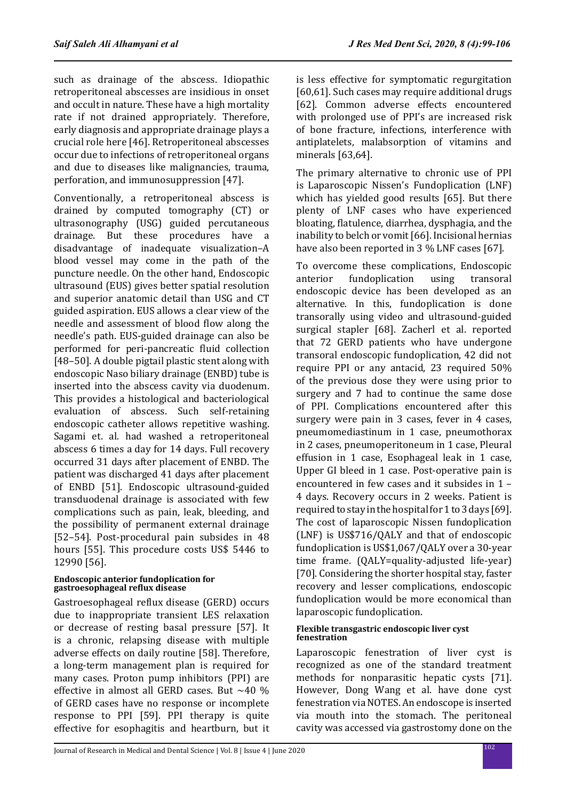such as drainage of the abscess. Idiopathic retroperitoneal abscesses are insidious in onset and occult in nature. These have a high mortality rate if not drained appropriately. Therefore, early diagnosis and appropriate drainage plays a crucial role here [46]. Retroperitoneal abscesses occur due to infections of retroperitoneal organs and due to diseases like malignancies, trauma, perforation, and immunosuppression [47].

Conventionally, a retroperitoneal abscess is drained by computed tomography (CT) or ultrasonography (USG) guided percutaneous drainage. But these procedures have a disadvantage of inadequate visualization–A blood vessel may come in the path of the puncture needle. On the other hand, Endoscopic ultrasound (EUS) gives better spatial resolution and superior anatomic detail than USG and CT guided aspiration. EUS allows a clear view of the needle and assessment of blood flow along the needle's path. EUS-guided drainage can also be performed for peri-pancreatic fluid collection [48–50]. A double pigtail plastic stent along with endoscopic Naso biliary drainage (ENBD) tube is inserted into the abscess cavity via duodenum. This provides a histological and bacteriological evaluation of abscess. Such self-retaining endoscopic catheter allows repetitive washing. Sagami et. al. had washed a retroperitoneal abscess 6 times a day for 14 days. Full recovery occurred 31 days after placement of ENBD. The patient was discharged 41 days after placement of ENBD [51]. Endoscopic ultrasound-guided transduodenal drainage is associated with few complications such as pain, leak, bleeding, and the possibility of permanent external drainage [52–54]. Post-procedural pain subsides in 48 hours [55]. This procedure costs US\$ 5446 to 12990 [56].

## **Endoscopic anterior fundoplication for gastroesophageal reflux disease**

Gastroesophageal reflux disease (GERD) occurs due to inappropriate transient LES relaxation or decrease of resting basal pressure [57]. It is a chronic, relapsing disease with multiple adverse effects on daily routine [58]. Therefore, a long-term management plan is required for many cases. Proton pump inhibitors (PPI) are effective in almost all GERD cases. But ~40 % of GERD cases have no response or incomplete response to PPI [59]. PPI therapy is quite effective for esophagitis and heartburn, but it is less effective for symptomatic regurgitation [60,61]. Such cases may require additional drugs [62]. Common adverse effects encountered with prolonged use of PPI's are increased risk of bone fracture, infections, interference with antiplatelets, malabsorption of vitamins and minerals [63,64].

The primary alternative to chronic use of PPI is Laparoscopic Nissen's Fundoplication (LNF) which has yielded good results [65]. But there plenty of LNF cases who have experienced bloating, flatulence, diarrhea, dysphagia, and the inability to belch or vomit [66]. Incisional hernias have also been reported in 3 % LNF cases [67].

To overcome these complications, Endoscopic<br>anterior fundoplication using transoral fundoplication endoscopic device has been developed as an alternative. In this, fundoplication is done transorally using video and ultrasound-guided surgical stapler [68]. Zacherl et al. reported that 72 GERD patients who have undergone transoral endoscopic fundoplication, 42 did not require PPI or any antacid, 23 required 50% of the previous dose they were using prior to surgery and 7 had to continue the same dose of PPI. Complications encountered after this surgery were pain in 3 cases, fever in 4 cases, pneumomediastinum in 1 case, pneumothorax in 2 cases, pneumoperitoneum in 1 case, Pleural effusion in 1 case, Esophageal leak in 1 case, Upper GI bleed in 1 case. Post-operative pain is encountered in few cases and it subsides in 1 – 4 days. Recovery occurs in 2 weeks. Patient is required to stay in the hospital for 1 to 3 days [69]. The cost of laparoscopic Nissen fundoplication (LNF) is US\$716/QALY and that of endoscopic fundoplication is US\$1,067/QALY over a 30‑year time frame. (QALY=quality-adjusted life-year) [70]. Considering the shorter hospital stay, faster recovery and lesser complications, endoscopic fundoplication would be more economical than laparoscopic fundoplication.

## **Flexible transgastric endoscopic liver cyst fenestration**

Laparoscopic fenestration of liver cyst is recognized as one of the standard treatment methods for nonparasitic hepatic cysts [71]. However, Dong Wang et al. have done cyst fenestration via NOTES. An endoscope is inserted via mouth into the stomach. The peritoneal cavity was accessed via gastrostomy done on the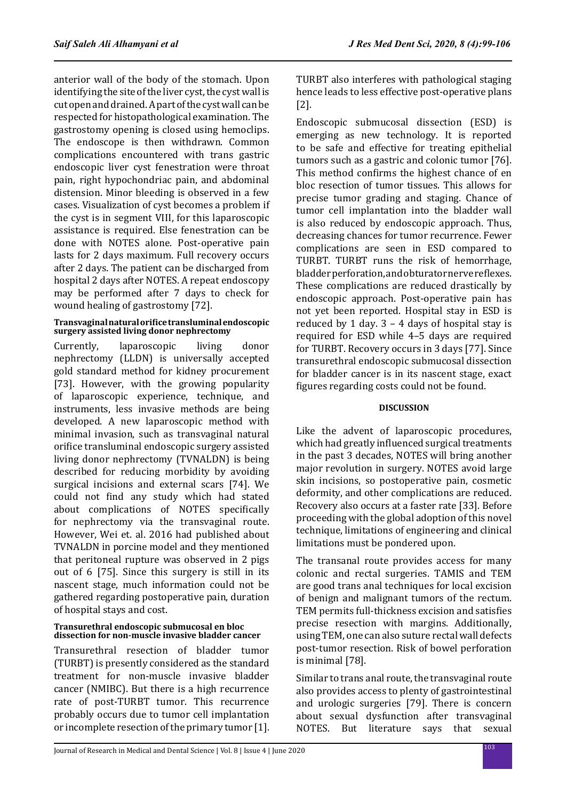anterior wall of the body of the stomach. Upon identifying the site of the liver cyst, the cyst wall is cut open and drained. A part of the cyst wall can be respected for histopathological examination. The gastrostomy opening is closed using hemoclips. The endoscope is then withdrawn. Common complications encountered with trans gastric endoscopic liver cyst fenestration were throat pain, right hypochondriac pain, and abdominal distension. Minor bleeding is observed in a few cases. Visualization of cyst becomes a problem if the cyst is in segment VIII, for this laparoscopic assistance is required. Else fenestration can be done with NOTES alone. Post-operative pain lasts for 2 days maximum. Full recovery occurs after 2 days. The patient can be discharged from hospital 2 days after NOTES. A repeat endoscopy may be performed after 7 days to check for wound healing of gastrostomy [72].

## **Transvaginal natural orifice transluminal endoscopic surgery assisted living donor nephrectomy**

Currently, laparoscopic living donor nephrectomy (LLDN) is universally accepted gold standard method for kidney procurement [73]. However, with the growing popularity of laparoscopic experience, technique, and instruments, less invasive methods are being developed. A new laparoscopic method with minimal invasion, such as transvaginal natural orifice transluminal endoscopic surgery assisted living donor nephrectomy (TVNALDN) is being described for reducing morbidity by avoiding surgical incisions and external scars [74]. We could not find any study which had stated about complications of NOTES specifically for nephrectomy via the transvaginal route. However, Wei et. al. 2016 had published about TVNALDN in porcine model and they mentioned that peritoneal rupture was observed in 2 pigs out of 6 [75]. Since this surgery is still in its nascent stage, much information could not be gathered regarding postoperative pain, duration of hospital stays and cost.

#### **Transurethral endoscopic submucosal en bloc dissection for non-muscle invasive bladder cancer**

Transurethral resection of bladder tumor (TURBT) is presently considered as the standard treatment for non-muscle invasive bladder cancer (NMIBC). But there is a high recurrence rate of post-TURBT tumor. This recurrence probably occurs due to tumor cell implantation or incomplete resection of the primary tumor [1].

TURBT also interferes with pathological staging hence leads to less effective post-operative plans [2].

Endoscopic submucosal dissection (ESD) is emerging as new technology. It is reported to be safe and effective for treating epithelial tumors such as a gastric and colonic tumor [76]. This method confirms the highest chance of en bloc resection of tumor tissues. This allows for precise tumor grading and staging. Chance of tumor cell implantation into the bladder wall is also reduced by endoscopic approach. Thus, decreasing chances for tumor recurrence. Fewer complications are seen in ESD compared to TURBT. TURBT runs the risk of hemorrhage, bladder perforation, and obturator nerve reflexes. These complications are reduced drastically by endoscopic approach. Post-operative pain has not yet been reported. Hospital stay in ESD is reduced by 1 day.  $3 - 4$  days of hospital stay is required for ESD while 4–5 days are required for TURBT. Recovery occurs in 3 days [77]. Since transurethral endoscopic submucosal dissection for bladder cancer is in its nascent stage, exact figures regarding costs could not be found.

## **DISCUSSION**

Like the advent of laparoscopic procedures, which had greatly influenced surgical treatments in the past 3 decades, NOTES will bring another major revolution in surgery. NOTES avoid large skin incisions, so postoperative pain, cosmetic deformity, and other complications are reduced. Recovery also occurs at a faster rate [33]. Before proceeding with the global adoption of this novel technique, limitations of engineering and clinical limitations must be pondered upon.

The transanal route provides access for many colonic and rectal surgeries. TAMIS and TEM are good trans anal techniques for local excision of benign and malignant tumors of the rectum. TEM permits full-thickness excision and satisfies precise resection with margins. Additionally, using TEM, one can also suture rectal wall defects post-tumor resection. Risk of bowel perforation is minimal [78].

Similar to trans anal route, the transvaginal route also provides access to plenty of gastrointestinal and urologic surgeries [79]. There is concern about sexual dysfunction after transvaginal<br>NOTES. But literature says that sexual But literature says that sexual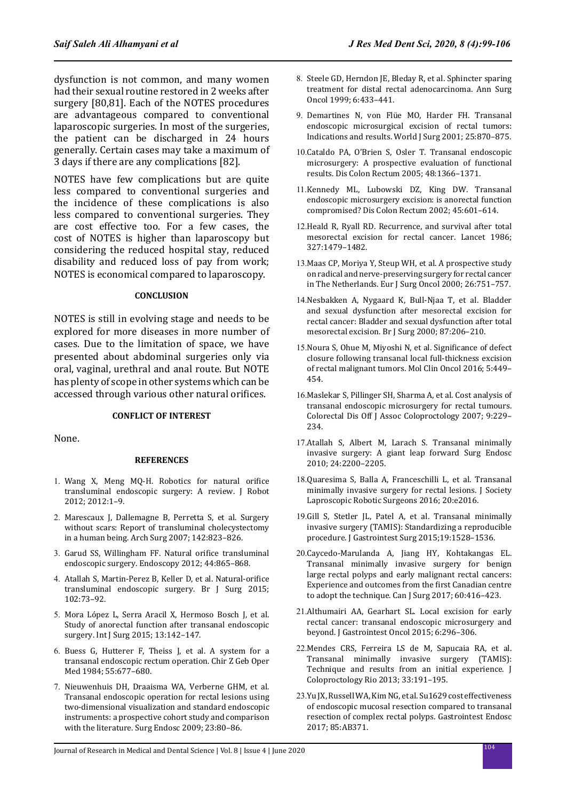dysfunction is not common, and many women had their sexual routine restored in 2 weeks after surgery [80,81]. Each of the NOTES procedures are advantageous compared to conventional laparoscopic surgeries. In most of the surgeries, the patient can be discharged in 24 hours generally. Certain cases may take a maximum of 3 days if there are any complications [82].

NOTES have few complications but are quite less compared to conventional surgeries and the incidence of these complications is also less compared to conventional surgeries. They are cost effective too. For a few cases, the cost of NOTES is higher than laparoscopy but considering the reduced hospital stay, reduced disability and reduced loss of pay from work; NOTES is economical compared to laparoscopy.

#### **CONCLUSION**

NOTES is still in evolving stage and needs to be explored for more diseases in more number of cases. Due to the limitation of space, we have presented about abdominal surgeries only via oral, vaginal, urethral and anal route. But NOTE has plenty of scope in other systems which can be accessed through various other natural orifices.

#### **CONFLICT OF INTEREST**

None.

#### **REFERENCES**

- 1. Wang X, Meng MQ-H. Robotics for natural orifice transluminal endoscopic surgery: A review. J Robot 2012; 2012:1–9.
- 2. Marescaux J, Dallemagne B, Perretta S, et al. Surgery without scars: Report of transluminal cholecystectomy in a human being. Arch Surg 2007; 142:823–826.
- 3. Garud SS, Willingham FF. Natural orifice transluminal endoscopic surgery. Endoscopy 2012; 44:865–868.
- 4. Atallah S, Martin-Perez B, Keller D, et al. Natural-orifice transluminal endoscopic surgery. Br J Surg 2015; 102:73–92.
- 5. Mora López L, Serra Aracil X, Hermoso Bosch J, et al. Study of anorectal function after transanal endoscopic surgery. Int J Surg 2015; 13:142–147.
- 6. Buess G, Hutterer F, Theiss J, et al. A system for a transanal endoscopic rectum operation. Chir Z Geb Oper Med 1984; 55:677–680.
- 7. Nieuwenhuis DH, Draaisma WA, Verberne GHM, et al. Transanal endoscopic operation for rectal lesions using two-dimensional visualization and standard endoscopic instruments: a prospective cohort study and comparison with the literature. Surg Endosc 2009; 23:80–86.
- 8. Steele GD, Herndon JE, Bleday R, et al. Sphincter sparing treatment for distal rectal adenocarcinoma. Ann Surg Oncol 1999; 6:433–441.
- 9. Demartines N, von Flüe MO, Harder FH. Transanal endoscopic microsurgical excision of rectal tumors: Indications and results. World J Surg 2001; 25:870–875.
- 10.Cataldo PA, O'Brien S, Osler T. Transanal endoscopic microsurgery: A prospective evaluation of functional results. Dis Colon Rectum 2005; 48:1366–1371.
- 11.Kennedy ML, Lubowski DZ, King DW. Transanal endoscopic microsurgery excision: is anorectal function compromised? Dis Colon Rectum 2002; 45:601–614.
- 12.Heald R, Ryall RD. Recurrence, and survival after total mesorectal excision for rectal cancer. Lancet 1986; 327:1479–1482.
- 13.Maas CP, Moriya Y, Steup WH, et al. A prospective study on radical and nerve-preserving surgery for rectal cancer in The Netherlands. Eur J Surg Oncol 2000; 26:751–757.
- 14.Nesbakken A, Nygaard K, Bull-Njaa T, et al. Bladder and sexual dysfunction after mesorectal excision for rectal cancer: Bladder and sexual dysfunction after total mesorectal excision. Br J Surg 2000; 87:206–210.
- 15.Noura S, Ohue M, Miyoshi N, et al. Significance of defect closure following transanal local full-thickness excision of rectal malignant tumors. Mol Clin Oncol 2016; 5:449– 454.
- 16.Maslekar S, Pillinger SH, Sharma A, et al. Cost analysis of transanal endoscopic microsurgery for rectal tumours. Colorectal Dis Off J Assoc Coloproctology 2007; 9:229– 234.
- 17.Atallah S, Albert M, Larach S. Transanal minimally invasive surgery: A giant leap forward Surg Endosc 2010; 24:2200–2205.
- 18.Quaresima S, Balla A, Franceschilli L, et al. Transanal minimally invasive surgery for rectal lesions. J Society Laproscopic Robotic Surgeons 2016; 20:e2016.
- 19.Gill S, Stetler JL, Patel A, et al. Transanal minimally invasive surgery (TAMIS): Standardizing a reproducible procedure. J Gastrointest Surg 2015;19:1528–1536.
- 20.Caycedo-Marulanda A, Jiang HY, Kohtakangas EL. Transanal minimally invasive surgery for benign large rectal polyps and early malignant rectal cancers: Experience and outcomes from the first Canadian centre to adopt the technique. Can J Surg 2017; 60:416–423.
- 21.Althumairi AA, Gearhart SL. Local excision for early rectal cancer: transanal endoscopic microsurgery and beyond. J Gastrointest Oncol 2015; 6:296–306.
- 22.Mendes CRS, Ferreira LS de M, Sapucaia RA, et al. Transanal minimally invasive surgery (TAMIS): Technique and results from an initial experience. J Coloproctology Rio 2013; 33:191–195.
- 23.Yu JX, Russell WA, Kim NG, et al. Su1629 cost effectiveness of endoscopic mucosal resection compared to transanal resection of complex rectal polyps. Gastrointest Endosc 2017; 85:AB371.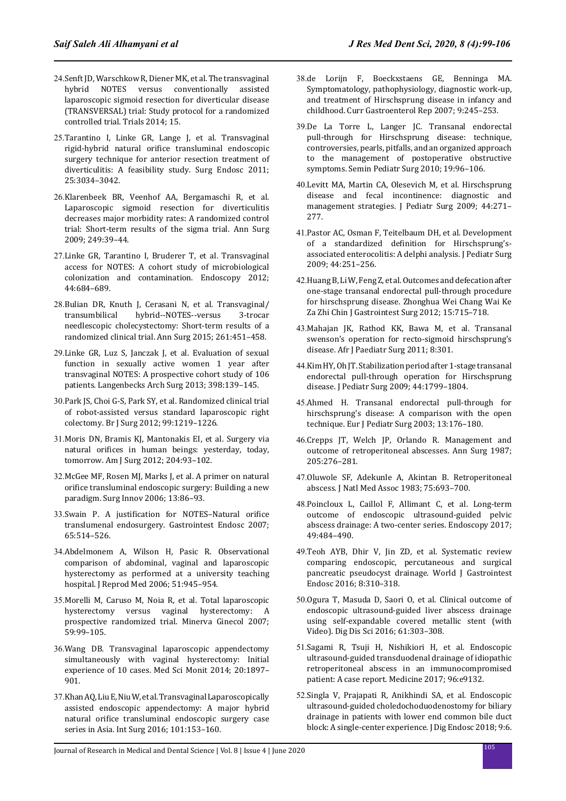- 24.Senft JD, Warschkow R, Diener MK, et al. The transvaginal hybrid NOTES versus conventionally assisted laparoscopic sigmoid resection for diverticular disease (TRANSVERSAL) trial: Study protocol for a randomized controlled trial. Trials 2014; 15.
- 25.Tarantino I, Linke GR, Lange J, et al. Transvaginal rigid-hybrid natural orifice transluminal endoscopic surgery technique for anterior resection treatment of diverticulitis: A feasibility study. Surg Endosc 2011; 25:3034–3042.
- 26.Klarenbeek BR, Veenhof AA, Bergamaschi R, et al. Laparoscopic sigmoid resection for diverticulitis decreases major morbidity rates: A randomized control trial: Short-term results of the sigma trial. Ann Surg 2009; 249:39–44.
- 27.Linke GR, Tarantino I, Bruderer T, et al. Transvaginal access for NOTES: A cohort study of microbiological colonization and contamination. Endoscopy 2012; 44:684–689.
- 28.Bulian DR, Knuth J, Cerasani N, et al. Transvaginal/ hybrid--NOTES--versus needlescopic cholecystectomy: Short-term results of a randomized clinical trial. Ann Surg 2015; 261:451–458.
- 29.Linke GR, Luz S, Janczak J, et al. Evaluation of sexual function in sexually active women 1 year after transvaginal NOTES: A prospective cohort study of 106 patients. Langenbecks Arch Surg 2013; 398:139–145.
- 30.Park JS, Choi G-S, Park SY, et al. Randomized clinical trial of robot-assisted versus standard laparoscopic right colectomy. Br J Surg 2012; 99:1219–1226.
- 31.Moris DN, Bramis KJ, Mantonakis EI, et al. Surgery via natural orifices in human beings: yesterday, today, tomorrow. Am J Surg 2012; 204:93–102.
- 32.McGee MF, Rosen MJ, Marks J, et al. A primer on natural orifice transluminal endoscopic surgery: Building a new paradigm. Surg Innov 2006; 13:86–93.
- 33.Swain P. A justification for NOTES–Natural orifice translumenal endosurgery. Gastrointest Endosc 2007; 65:514–526.
- 34.Abdelmonem A, Wilson H, Pasic R. Observational comparison of abdominal, vaginal and laparoscopic hysterectomy as performed at a university teaching hospital. J Reprod Med 2006; 51:945–954.
- 35.Morelli M, Caruso M, Noia R, et al. Total laparoscopic hysterectomy versus vaginal hysterectomy: A prospective randomized trial. Minerva Ginecol 2007; 59:99–105.
- 36.Wang DB. Transvaginal laparoscopic appendectomy simultaneously with vaginal hysterectomy: Initial experience of 10 cases. Med Sci Monit 2014; 20:1897– 901.
- 37.Khan AQ, Liu E, Niu W, et al. Transvaginal Laparoscopically assisted endoscopic appendectomy: A major hybrid natural orifice transluminal endoscopic surgery case series in Asia. Int Surg 2016; 101:153–160.
- 38.de Lorijn F, Boeckxstaens GE, Benninga MA. Symptomatology, pathophysiology, diagnostic work-up, and treatment of Hirschsprung disease in infancy and childhood. Curr Gastroenterol Rep 2007; 9:245–253.
- 39.De La Torre L, Langer JC. Transanal endorectal pull-through for Hirschsprung disease: technique, controversies, pearls, pitfalls, and an organized approach to the management of postoperative obstructive symptoms. Semin Pediatr Surg 2010; 19:96–106.
- 40.Levitt MA, Martin CA, Olesevich M, et al. Hirschsprung disease and fecal incontinence: diagnostic and management strategies. J Pediatr Surg 2009; 44:271– 277.
- 41.Pastor AC, Osman F, Teitelbaum DH, et al. Development of a standardized definition for Hirschsprung'sassociated enterocolitis: A delphi analysis. J Pediatr Surg 2009; 44:251–256.
- 42.Huang B, Li W, Feng Z, et al. Outcomes and defecation after one-stage transanal endorectal pull-through procedure for hirschsprung disease. Zhonghua Wei Chang Wai Ke Za Zhi Chin J Gastrointest Surg 2012; 15:715–718.
- 43.Mahajan JK, Rathod KK, Bawa M, et al. Transanal swenson's operation for recto-sigmoid hirschsprung's disease. Afr J Paediatr Surg 2011; 8:301.
- 44.Kim HY, Oh JT. Stabilization period after 1-stage transanal endorectal pull-through operation for Hirschsprung disease. J Pediatr Surg 2009; 44:1799–1804.
- 45.Ahmed H. Transanal endorectal pull-through for hirschsprung's disease: A comparison with the open technique. Eur J Pediatr Surg 2003; 13:176–180.
- 46.Crepps JT, Welch JP, Orlando R. Management and outcome of retroperitoneal abscesses. Ann Surg 1987; 205:276–281.
- 47.Oluwole SF, Adekunle A, Akintan B. Retroperitoneal abscess. J Natl Med Assoc 1983; 75:693–700.
- 48.Poincloux L, Caillol F, Allimant C, et al. Long-term outcome of endoscopic ultrasound-guided pelvic abscess drainage: A two-center series. Endoscopy 2017; 49:484–490.
- 49.Teoh AYB, Dhir V, Jin ZD, et al. Systematic review comparing endoscopic, percutaneous and surgical pancreatic pseudocyst drainage. World J Gastrointest Endosc 2016; 8:310–318.
- 50.Ogura T, Masuda D, Saori O, et al. Clinical outcome of endoscopic ultrasound-guided liver abscess drainage using self-expandable covered metallic stent (with Video). Dig Dis Sci 2016; 61:303–308.
- 51.Sagami R, Tsuji H, Nishikiori H, et al. Endoscopic ultrasound-guided transduodenal drainage of idiopathic retroperitoneal abscess in an immunocompromised patient: A case report. Medicine 2017; 96:e9132.
- 52.Singla V, Prajapati R, Anikhindi SA, et al. Endoscopic ultrasound-guided choledochoduodenostomy for biliary drainage in patients with lower end common bile duct block: A single-center experience. J Dig Endosc 2018; 9:6.